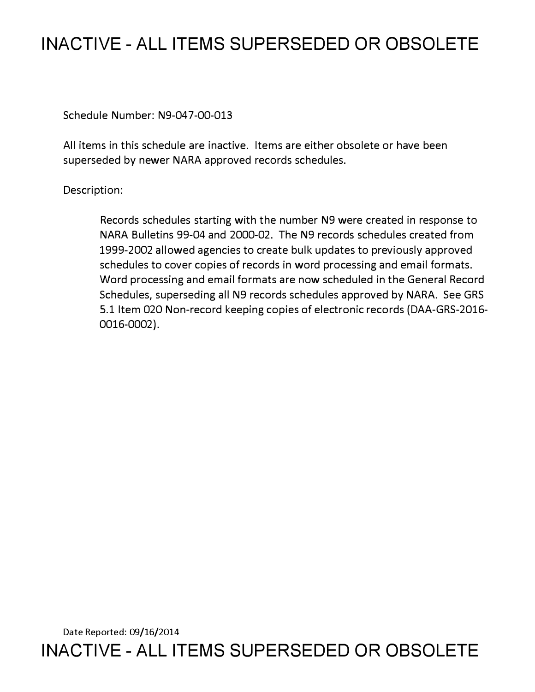## **INACTIVE - ALL ITEMS SUPERSEDED OR OBSOLETE**

Schedule Number: N9-047-00-013

All items in this schedule are inactive. Items are either obsolete or have been superseded by newer NARA approved records schedules.

Description:

Records schedules starting with the number N9 were created in response to NARA Bulletins 99-04 and 2000-02. The N9 records schedules created from 1999-2002 allowed agencies to create bulk updates to previously approved schedules to cover copies of records in word processing and email formats. Word processing and email formats are now scheduled in the General Record Schedules, superseding all N9 records schedules approved by NARA. See GRS 5.1 Item 020 Non-record keeping copies of electronic records (DAA-GRS-2016- 0016-0002).

Date Reported: 09/16/2014 **INACTIVE - ALL ITEMS SUPERSEDED OR OBSOLETE**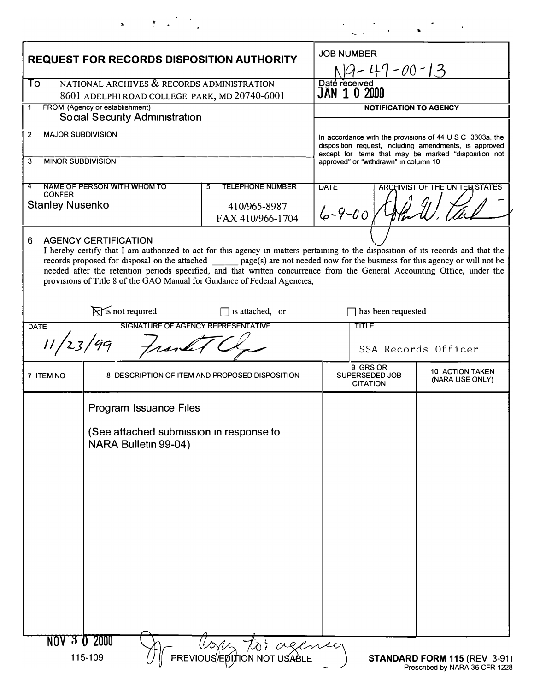| $\blacksquare$<br>- | $\mathbf{r}$ |  |  |
|---------------------|--------------|--|--|

| <b>REQUEST FOR RECORDS DISPOSITION AUTHORITY</b>                              |                                                                 |                                                                                                                                                                                                                                                                                                                                                                                                                                                                                | <b>JOB NUMBER</b><br>119-47-00-13                                                                                                                                          |                                                                |  |  |
|-------------------------------------------------------------------------------|-----------------------------------------------------------------|--------------------------------------------------------------------------------------------------------------------------------------------------------------------------------------------------------------------------------------------------------------------------------------------------------------------------------------------------------------------------------------------------------------------------------------------------------------------------------|----------------------------------------------------------------------------------------------------------------------------------------------------------------------------|----------------------------------------------------------------|--|--|
|                                                                               |                                                                 |                                                                                                                                                                                                                                                                                                                                                                                                                                                                                |                                                                                                                                                                            |                                                                |  |  |
| FROM (Agency or establishment)<br>1<br><b>Social Security Administration</b>  |                                                                 |                                                                                                                                                                                                                                                                                                                                                                                                                                                                                | <b>NOTIFICATION TO AGENCY</b>                                                                                                                                              |                                                                |  |  |
| <b>MAJOR SUBDIVISION</b><br>2                                                 |                                                                 |                                                                                                                                                                                                                                                                                                                                                                                                                                                                                |                                                                                                                                                                            |                                                                |  |  |
|                                                                               |                                                                 |                                                                                                                                                                                                                                                                                                                                                                                                                                                                                | In accordance with the provisions of 44 U S C 3303a, the<br>disposition request, including amendments, is approved<br>except for items that may be marked "disposition not |                                                                |  |  |
| 3<br><b>MINOR SUBDIVISION</b>                                                 |                                                                 |                                                                                                                                                                                                                                                                                                                                                                                                                                                                                | approved" or "withdrawn" in column 10                                                                                                                                      |                                                                |  |  |
| <b>TELEPHONE NUMBER</b><br>NAME OF PERSON WITH WHOM TO<br>$\overline{5}$<br>4 |                                                                 |                                                                                                                                                                                                                                                                                                                                                                                                                                                                                | <b>DATE</b>                                                                                                                                                                | ARCHIVIST OF THE UNITER STATES                                 |  |  |
| <b>CONFER</b><br><b>Stanley Nusenko</b>                                       |                                                                 | 410/965-8987<br>FAX 410/966-1704                                                                                                                                                                                                                                                                                                                                                                                                                                               | $6 - 9 - 00$                                                                                                                                                               |                                                                |  |  |
| 6                                                                             | <b>AGENCY CERTIFICATION</b>                                     | I hereby certify that I am authorized to act for this agency in matters pertaining to the disposition of its records and that the<br>records proposed for disposal on the attached _______ page(s) are not needed now for the business for this agency or will not be<br>needed after the retention periods specified, and that written concurrence from the General Accounting Office, under the<br>provisions of Title 8 of the GAO Manual for Guidance of Federal Agencies, |                                                                                                                                                                            |                                                                |  |  |
|                                                                               | $\sum$ is not required                                          | $\Box$ is attached, or                                                                                                                                                                                                                                                                                                                                                                                                                                                         | has been requested                                                                                                                                                         |                                                                |  |  |
| <b>DATE</b>                                                                   |                                                                 | SIGNATURE OF AGENCY REPRESENTATIVE                                                                                                                                                                                                                                                                                                                                                                                                                                             | TITLE                                                                                                                                                                      |                                                                |  |  |
| 11/23/99                                                                      |                                                                 |                                                                                                                                                                                                                                                                                                                                                                                                                                                                                |                                                                                                                                                                            | SSA Records Officer                                            |  |  |
| 7 ITEM NO                                                                     |                                                                 | 8 DESCRIPTION OF ITEM AND PROPOSED DISPOSITION                                                                                                                                                                                                                                                                                                                                                                                                                                 | 9 GRS OR<br>SUPERSEDED JOB<br><b>CITATION</b>                                                                                                                              | 10 ACTION TAKEN<br>(NARA USE ONLY)                             |  |  |
|                                                                               | Program Issuance Files                                          |                                                                                                                                                                                                                                                                                                                                                                                                                                                                                |                                                                                                                                                                            |                                                                |  |  |
|                                                                               | (See attached submission in response to<br>NARA Bulletin 99-04) |                                                                                                                                                                                                                                                                                                                                                                                                                                                                                |                                                                                                                                                                            |                                                                |  |  |
|                                                                               |                                                                 |                                                                                                                                                                                                                                                                                                                                                                                                                                                                                |                                                                                                                                                                            |                                                                |  |  |
|                                                                               |                                                                 |                                                                                                                                                                                                                                                                                                                                                                                                                                                                                |                                                                                                                                                                            |                                                                |  |  |
|                                                                               |                                                                 |                                                                                                                                                                                                                                                                                                                                                                                                                                                                                |                                                                                                                                                                            |                                                                |  |  |
|                                                                               |                                                                 |                                                                                                                                                                                                                                                                                                                                                                                                                                                                                |                                                                                                                                                                            |                                                                |  |  |
|                                                                               |                                                                 |                                                                                                                                                                                                                                                                                                                                                                                                                                                                                |                                                                                                                                                                            |                                                                |  |  |
|                                                                               |                                                                 |                                                                                                                                                                                                                                                                                                                                                                                                                                                                                |                                                                                                                                                                            |                                                                |  |  |
|                                                                               |                                                                 |                                                                                                                                                                                                                                                                                                                                                                                                                                                                                |                                                                                                                                                                            |                                                                |  |  |
|                                                                               | NOV 3 0 2000                                                    | - Com to: agency                                                                                                                                                                                                                                                                                                                                                                                                                                                               |                                                                                                                                                                            |                                                                |  |  |
|                                                                               | 115-109                                                         |                                                                                                                                                                                                                                                                                                                                                                                                                                                                                |                                                                                                                                                                            | STANDARD FORM 115 (REV 3-91)<br>Prescribed by NARA 36 CFR 1228 |  |  |